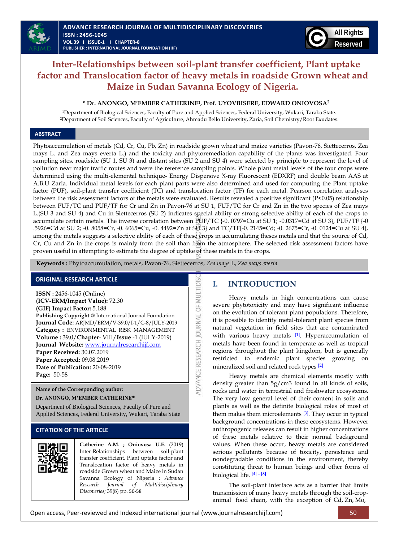# **Inter-Relationships between soil-plant transfer coefficient, Plant uptake factor and Translocation factor of heavy metals in roadside Grown wheat and Maize in Sudan Savanna Ecology of Nigeria.**

### **\* Dr. ANONGO, M'EMBER CATHERINE1, Prof. UYOVBISERE, EDWARD ONIOVOSA<sup>2</sup>**

<sup>1</sup>Department of Biological Sciences, Faculty of Pure and Applied Sciences, Federal University, Wukari, Taraba State. <sup>2</sup>Department of Soil Sciences, Faculty of Agriculture, Ahmadu Bello University, Zaria, Soil Chemistry/Root Exudates.

## **ABSTRACT**

Phytoaccumulation of metals (Cd, Cr, Cu, Pb, Zn) in roadside grown wheat and maize varieties (Pavon-76, Siettecerros, Zea mays L. and Zea mays everta L.) and the toxicity and phytoremediation capability of the plants was investigated. Four sampling sites, roadside (SU 1, SU 3) and distant sites (SU 2 and SU 4) were selected by principle to represent the level of pollution near major traffic routes and were the reference sampling points. Whole plant metal levels of the four crops were determined using the multi-elemental technique- Energy Dispersive X-ray Fluorescent (EDXRF) and double beam AAS at A.B.U Zaria. Individual metal levels for each plant parts were also determined and used for computing the Plant uptake factor (PUF), soil-plant transfer coefficient (TC) and translocation factor (TF) for each metal. Pearson correlation analyses between the risk assessment factors of the metals were evaluated. Results revealed a positive significant (P<0.05) relationship between PUF/TC and PUF/TF for Cr and Zn in Pavon-76 at SU 1, PUF/TC for Cr and Zn in the two species of Zea mays L.(SU 3 and SU 4) and Cu in Siettecerros (SU 2) indicates special ability or strong selective ability of each of the crops to accumulate certain metals. The inverse correlation between PUF/TC {-0. 0797=Cu at SU 1; -0.0317=Cd at SU 3}, PUF/TF {-0 .5926=Cd at SU 2; -0. 8058=Cr, -0. 6065=Cu, -0. 4492=Zn at SU 3} and TC/TF{-0. 2145=Cd; -0. 2675=Cr, -0. 0124=Cu at SU 4}, among the metals suggests a selective ability of each of these crops in accumulating theses metals and that the source of Cd, Cr, Cu and Zn in the crops is mainly from the soil than from the atmosphere. The selected risk assessment factors have proven useful in attempting to estimate the degree of uptake of these metals in the crops.

ADVANCE RESEARCH JOURNAL OF MULTIDIS

 **Keywords :** Phytoaccumulation, metals, Pavon-76, Siettecerros, *Zea mays* L, *Zea mays everta*

# **ORIGINAL RESEARCH ARTICLE**

**ISSN :** 2456-1045 (Online) **(ICV-ERM/Impact Value):** 72.30 **(GIF) Impact Factor:** 5.188 **Publishing Copyright @** International Journal Foundation **Journal Code:** ARJMD/ERM/V-39.0/I-1/C-8/JULY-2019 **Category :** ENVIRONMENTAL RISK MANAGEMENT **Volume :** 39.0/**Chapter**- VIII/**Issue** -1 (JULY-2019) **Journal Website:** [www.journalresearchijf.com](http://www.journalresearchijf.com/) **Paper Received:** 30.07.2019 **Paper Accepted:** 09.08.2019 **Date of Publication:** 20-08-2019 **Page:** 50-58

**Name of the Corresponding author: Dr. ANONGO, M'EMBER CATHERINE\***

Department of Biological Sciences, Faculty of Pure and Applied Sciences, Federal University, Wukari, Taraba State

# **CITATION OF THE ARTICLE**



**Catherine A.M. ; Oniovosa U.E.** (2019) Inter-Relationships between soil-plant transfer coefficient, Plant uptake factor and Translocation factor of heavy metals in roadside Grown wheat and Maize in Sudan Savanna Ecology of Nigeria ; *Advance Research Journal of Multidisciplinary Discoveries;* 39(8) pp. 50-58

# **I. INTRODUCTION**

Heavy metals in high concentrations can cause severe phytotoxicity and may have significant influence on the evolution of tolerant plant populations. Therefore, it is possible to identify metal-tolerant plant species from natural vegetation in field sites that are contaminated with various heavy metals  $[1]$ . Hyperaccumulation of metals have been found in temperate as well as tropical regions throughout the plant kingdom, but is generally restricted to endemic plant species growing on mineralized soil and related rock types [\[2\]](#page-7-1)

Heavy metals are chemical elements mostly with density greater than 5g/cm3 found in all kinds of soils, rocks and water in terrestrial and freshwater ecosystems. The very low general level of their content in soils and plants as well as the definite biological roles of most of them makes them microelements  $[3]$ . They occur in typical background concentrations in these ecosystems. However anthropogenic releases can result in higher concentrations of these metals relative to their normal background values. When these occur, heavy metals are considered serious pollutants because of toxicity, persistence and nondegradable conditions in the environment, thereby constituting threat to human beings and other forms of biological life. [\[4\]](#page-7-3) **– [\[8\]](#page-7-4)**

The soil-plant interface acts as a barrier that limits transmission of many heavy metals through the soil-cropanimal food chain, with the exception of Cd, Zn, Mo,

Open access, Peer-reviewed and Indexed international journal (www.journalresearchijf.com) 50



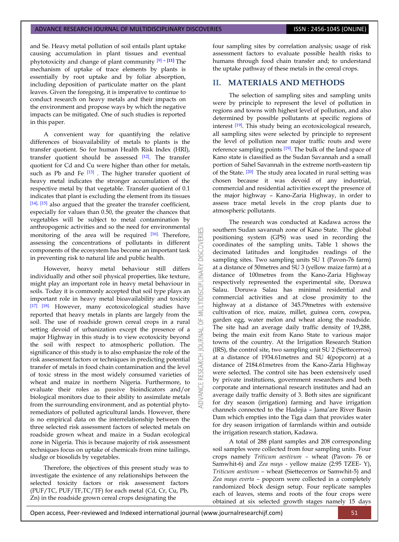and Se. Heavy metal pollution of soil entails plant uptake causing accumulation in plant tissues and eventual phytotoxicity and change of plant community [\[9\]](#page-7-5) **– [\[11\]](#page-7-6)** The mechanism of uptake of trace elements by plants is essentially by root uptake and by foliar absorption, including deposition of particulate matter on the plant leaves. Given the foregoing, it is imperative to continue to conduct research on heavy metals and their impacts on the environment and propose ways by which the negative impacts can be mitigated. One of such studies is reported in this paper.

A convenient way for quantifying the relative differences of bioavailability of metals to plants is the transfer quotient. So for human Health Risk Index (HRI), transfer quotient should be assessed [\[12\]](#page-7-7). The transfer quotient for Cd and Cu were higher than other for metals, such as Pb and Fe  $[13]$ . The higher transfer quotient of heavy metal indicates the stronger accumulation of the respective metal by that vegetable. Transfer quotient of 0.1 indicates that plant is excluding the element from its tissues [\[14\],](#page-7-9) [\[15\]](#page-7-10) also argued that the greater the transfer coefficient, especially for values than 0.50, the greater the chances that vegetables will be subject to metal contamination by anthropogenic activities and so the need for environmental monitoring of the area will be required [\[16\].](#page-7-11) Therefore, assessing the concentrations of pollutants in different components of the ecosystem has become an important task in preventing risk to natural life and public health.

However, heavy metal behaviour still differs individually and other soil physical properties, like texture, might play an important role in heavy metal behaviour in soils. Today it is commonly accepted that soil type plays an important role in heavy metal bioavailability and toxicity [\[17\]](#page-7-12) [\[18\].](#page-7-13) However, many ecotoxicological studies have reported that heavy metals in plants are largely from the soil. The use of roadside grown cereal crops in a rural setting devoid of urbanization except the presence of a major Highway in this study is to view ecotoxicity beyond the soil with respect to atmospheric pollution. The significance of this study is to also emphasize the role of the risk assessment factors or techniques in predicting potential transfer of metals in food chain contamination and the level of toxic stress in the most widely consumed varieties of wheat and maize in northern Nigeria. Furthermore, to evaluate their roles as passive bioindicators and/or biological monitors due to their ability to assimilate metals from the surrounding environment, and as potential phytoremediators of polluted agricultural lands. However, there is no empirical data on the interrelationship between the three selected risk assessment factors of selected metals on roadside grown wheat and maize in a Sudan ecological zone in Nigeria. This is because majority of risk assessment techniques focus on uptake of chemicals from mine tailings, sludge or biosolids by vegetables.

Therefore, the objectives of this present study was to investigate the existence of any relationships between the selected toxicity factors or risk assessment factors (PUF/TC, PUF/TF,TC/TF) for each metal (Cd, Cr, Cu, Pb, Zn) in the roadside grown cereal crops designating the

four sampling sites by correlation analysis; usage of risk assessment factors to evaluate possible health risks to humans through food chain transfer and; to understand the uptake pathway of these metals in the cereal crops.

# **II. MATERIALS AND METHODS**

The selection of sampling sites and sampling units were by principle to represent the level of pollution in regions and towns with highest level of pollution, and also determined by possible pollutants at specific regions of interest [\[19\]](#page-7-14). This study being an ecotoxicological research, all sampling sites were selected by principle to represent the level of pollution near major traffic routs and were reference sampling points [\[19\]](#page-7-14). The bulk of the land space of Kano state is classified as the Sudan Savannah and a small portion of Sahel Savannah in the extreme north-eastern tip of the State. [\[20\]](#page-7-15) The study area located in rural setting was chosen because it was devoid of any industrial, commercial and residential activities except the presence of the major highway – Kano-Zaria Highway, in order to assess trace metal levels in the crop plants due to atmospheric pollutants.

The research was conducted at Kadawa across the southern Sudan savannah zone of Kano State. The global positioning system (GPS) was used in recording the coordinates of the sampling units**.** Table 1 shows the decimated latitudes and longitudes readings of the sampling sites. Two sampling units SU 1 (Pavon-76 farm) at a distance of 50metres and SU 3 (yellow maize farm) at a distance of 100metres from the Kano-Zaria Highway respectively represented the experimental site, Doruwa Salau. Doruwa Salau has minimal residential and commercial activities and at close proximity to the highway at a distance of 345.79metres with extensive cultivation of rice, maize, millet, guinea corn, cowpea, garden egg, water melon and wheat along the roadside. The site had an average daily traffic density of 19,288, being the main exit from Kano State to various major towns of the country. At the Irrigation Research Station (IRS), the control site, two sampling unit SU 2 (Siettecerros) at a distance of 1934.61metres and SU 4(popcorn) at a distance of 2184.61metres from the Kano-Zaria Highway were selected. The control site has been extensively used by private institutions, government researchers and both corporate and international research institutes and had an average daily traffic density of 3. Both sites are significant for dry season (irrigation) farming and have irrigation channels connected to the Hadejia – Jama'are River Basin Dam which empties into the Tiga dam that provides water for dry season irrigation of farmlands within and outside the irrigation research station, Kadawa.

A total of 288 plant samples and 208 corresponding soil samples were collected from four sampling units. Four crops namely *Triticum aestivum –* wheat (Pavon- 76 or Samwhit-6) and *Zea mays -* yellow maize (2:95 TZEE- Y), *Triticum aestivum –* wheat (Siettecerros or Samwhit-5) and *Zea mays everta –* popcorn were collected in a completely randomized block design setup. Four replicate samples each of leaves, stems and roots of the four crops were obtained at six selected growth stages namely 15 days

**ISCOVERI** 

INARY

IDISCII

ö RNAL  $\overline{0}$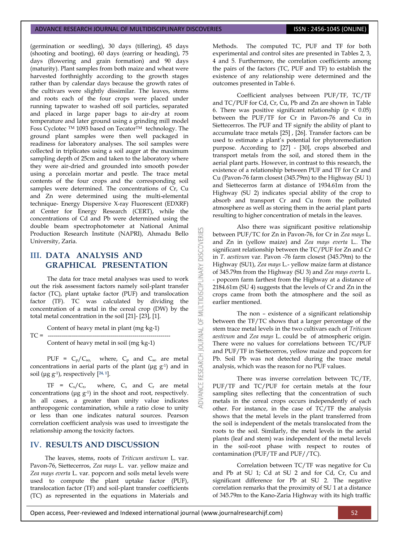(germination or seedling), 30 days (tillering), 45 days (shooting and booting), 60 days (earring or heading), 75 days (flowering and grain formation) and 90 days (maturity). Plant samples from both maize and wheat were harvested forthnightly according to the growth stages rather than by calendar days because the growth rates of the cultivars were slightly dissimilar. The leaves, stems and roots each of the four crops were placed under running tapwater to washed off soil particles, separated and placed in large paper bags to air-dry at room temperature and later ground using a grinding mill model Foss Cyclotec TM 1093 based on TecatorTM technology. The ground plant samples were then well packaged in readiness for laboratory analyses. The soil samples were collected in triplicates using a soil auger at the maximum sampling depth of 25cm and taken to the laboratory where they were air-dried and grounded into smooth powder using a porcelain mortar and pestle. The trace metal contents of the four crops and the corresponding soil samples were determined. The concentrations of Cr, Cu and Zn were determined using the multi-elemental technique- Energy Dispersive X-ray Fluorescent (EDXRF) at Center for Energy Research (CERT), while the concentrations of Cd and Pb were determined using the double beam spectrophotometer at National Animal Production Research Institute (NAPRI), Ahmadu Bello University, Zaria.

# **III. DATA ANALYSIS AND GRAPHICAL PRESENTATION**

The data for trace metal analyses was used to work out the risk assessment factors namely soil-plant transfer factor (TC), plant uptake factor (PUF) and translocation factor (TF). TC was calculated by dividing the concentration of a metal in the cereal crop (DW) by the total metal concentration in the soi[l \[21\]-](#page-7-16) [\[23\],](#page-7-17) [\[1\].](#page-7-0) 

Content of heavy metal in plant (mg·kg-1)

 $TC = -$ 

Content of heavy metal in soil (mg·kg-1)

PUF =  $C_p/C_{so}$ , where,  $C_p$  and  $C_{so}$  are metal concentrations in aerial parts of the plant ( $\mu$ g g<sup>-1</sup>) and in soil (μg g-1), respectively [**24, 1**].

 $TF = C_s/C_{r}$ , where,  $C_s$  and  $C_r$  are metal concentrations (μg g-1) in the shoot and root, respectively. In all cases, a greater than unity value indicates anthropogenic contamination, while a ratio close to unity or less than one indicates natural sources. Pearson correlation coefficient analysis was used to investigate the relationship among the toxicity factors.

# **IV. RESULTS AND DISCUSSION**

The leaves, stems, roots of *Triticum aestivum* L. var. Pavon-76, Siettecerros, *Zea mays* L. var. yellow maize and *Zea mays everta* L. var. popcorn and soils metal levels were used to compute the plant uptake factor (PUF), translocation factor (TF) and soil-plant transfer coefficients (TC) as represented in the equations in Materials and Methods. The computed TC, PUF and TF for both experimental and control sites are presented in Tables 2, 3, 4 and 5. Furthermore, the correlation coefficients among the pairs of the factors (TC, PUF and TF) to establish the existence of any relationship were determined and the outcomes presented in Table 6.

Coefficient analyses between PUF/TF, TC/TF and TC/PUF for Cd, Cr, Cu, Pb and Zn are shown in Table 6. There was positive significant relationship ( $p \leq 0.05$ ) between the PUF/TF for Cr in Pavon-76 and Cu in Siettecerros. The PUF and TF signify the ability of plant to accumulate trace metals [\[25\]](#page-8-0) , [\[26\].](#page-8-1) Transfer factors can be used to estimate a plant's potential for phytoremediation purpose. According to [\[27\]](#page-8-2) - [\[30\],](#page-8-3) crops absorbed and transport metals from the soil, and stored them in the aerial plant parts. However, in contrast to this research, the existence of a relationship between PUF and TF for Cr and Cu (Pavon-76 farm closest (345.79m) to the Highway (SU 1) and Siettecerros farm at distance of 1934.61m from the Highway (SU 2) indicates special ability of the crop to absorb and transport Cr and Cu from the polluted atmosphere as well as storing them in the aerial plant parts resulting to higher concentration of metals in the leaves.

Also there was significant positive relationship between PUF/TC for Zn in Pavon-76, for Cr in *Zea mays* L. and Zn in (yellow maize) and *Zea mays everta* L.. The significant relationship between the TC/PUF for Zn and Cr in *T. aestivum* var. Pavon -76 farm closest (345.79m) to the Highway (SU1), *Zea mays* L.- yellow maize farm at distance of 345.79m from the Highway (SU 3) and *Zea mays everta* L. - popcorn farm farthest from the Highway at a distance of 2184.61m (SU 4) suggests that the levels of Cr and Zn in the crops came from both the atmosphere and the soil as earlier mentioned.

**DISCOVERI** 

**INARY** 

MULTIDISCIPL

ö

**RNAL** ō

RESEARCH

The non – existence of a significant relationship between the TF/TC shows that a larger percentage of the stem trace metal levels in the two cultivars each of *Triticum aestivum* and *Zea mays* L. could be of atmospheric origin. There were no values for correlations between TC/PUF and PUF/TF in Siettecerros, yellow maize and popcorn for Pb. Soil Pb was not detected during the trace metal analysis, which was the reason for no PUF values.

There was inverse correlation between TC/TF, PUF/TF and TC/PUF for certain metals at the four sampling sites reflecting that the concentration of such metals in the cereal crops occurs independently of each other. For instance, in the case of TC/TF the analysis shows that the metal levels in the plant transferred from the soil is independent of the metals translocated from the roots to the soil. Similarly, the metal levels in the aerial plants (leaf and stem) was independent of the metal levels in the soil-root phase with respect to routes of contamination (PUF/TF and PUF//TC).

Correlation between TC/TF was negative for Cu and Pb at SU 1; Cd at SU 2 and for Cd, Cr, Cu and significant difference for Pb at SU 2. The negative correlation remarks that the proximity of SU 1 at a distance of 345.79m to the Kano-Zaria Highway with its high traffic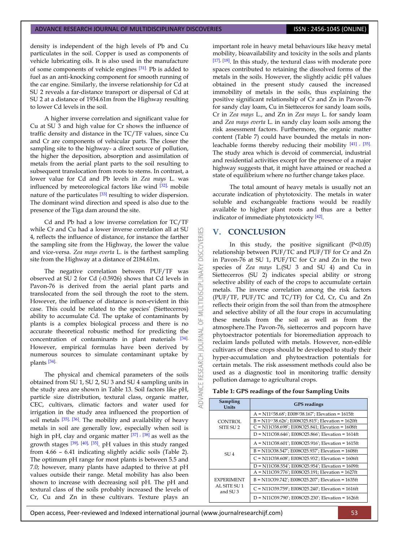density is independent of the high levels of Pb and Cu particulates in the soil. Copper is used as components of vehicle lubricating oils. It is also used in the manufacture of some components of vehicle engines [\[31\].](#page-8-4) Pb is added to fuel as an anti-knocking component for smooth running of the car engine. Similarly, the inverse relationship for Cd at SU 2 reveals a far-distance transport or dispersal of Cd at SU 2 at a distance of 1934.61m from the Highway resulting to lower Cd levels in the soil.

A higher inverse correlation and significant value for Cu at SU 3 and high value for Cr shows the influence of traffic density and distance in the TC/TF values, since Cu and Cr are components of vehicular parts. The closer the sampling site to the highway- a direct source of pollution, the higher the deposition, absorption and assimilation of metals from the aerial plant parts to the soil resulting to subsequent translocation from roots to stems. In contrast, a lower value for Cd and Pb levels in *Zea mays* L. was influenced by meteorological factors like wind [\[32\],](#page-8-5) mobile nature of the particulates <sup>[\[33\]](#page-8-6)</sup> resulting to wider dispersion. The dominant wind direction and speed is also due to the presence of the Tiga dam around the site.

Cd and Pb had a low inverse correlation for TC/TF while Cr and Cu had a lower inverse correlation all at SU 4, reflects the influence of distance, for instance the farther the sampling site from the Highway, the lower the value and vice-versa*. Zea mays everta* L. is the farthest sampling site from the Highway at a distance of 2184.61m.

The negative correlation between PUF/TF was observed at SU 2 for Cd (-0.5926) shows that Cd levels in Pavon-76 is derived from the aerial plant parts and translocated from the soil through the root to the stem. However, the influence of distance is non-evident in this case. This could be related to the species' (Siettecerros) ability to accumulate Cd. The uptake of contaminants by plants is a complex biological process and there is no accurate theoretical robustic method for predicting the concentration of contaminants in plant materials [\[34\].](#page-8-7) However, empirical formulas have been derived by numerous sources to simulate contaminant uptake by plants [\[34\].](#page-8-7)

The physical and chemical parameters of the soils obtained from SU 1, SU 2, SU 3 and SU 4 sampling units in the study area are shown in Table 13. Soil factors like pH, particle size distribution, textural class, organic matter, CEC, cultivars, climatic factors and water used for irrigation in the study area influenced the proportion of soil metals  $\left[35\right]$ ,  $\left[36\right]$ . The mobility and availability of heavy metals in soil are generally low, especially when soil is high in pH, clay and organic matter [\[37\]](#page-8-10) [, \[38\]](#page-8-11) as well as the growth stages [\[39\],](#page-8-12) [\[40\],](#page-8-13) [\[35\]](#page-8-8). pH values in this study ranged from 4.66 – 6.41 indicating slightly acidic soils (Table 2). The optimum pH range for most plants is between 5.5 and 7.0; however, many plants have adapted to thrive at pH values outside their range. Metal mobility has also been shown to increase with decreasing soil pH. The pH and textural class of the soils probably increased the levels of Cr, Cu and Zn in these cultivars. Texture plays an

important role in heavy metal behaviours like heavy metal mobility, bioavailability and toxicity in the soils and plants [\[17\],](#page-7-12) [\[18\]](#page-7-13). In this study, the textural class with moderate pore spaces contributed to retaining the dissolved forms of the metals in the soils. However, the slightly acidic pH values obtained in the present study caused the increased immobility of metals in the soils, thus explaining the positive significant relationship of Cr and Zn in Pavon-76 for sandy clay loam, Cu in Sietteceros for sandy loam soils, Cr in *Zea mays* L., and Zn in *Zea mays* L. for sandy loam and *Zea mays everta* L. in sandy clay loam soils among the risk assessment factors. Furthermore, the organic matter content (Table 7) could have bounded the metals in nonleachable forms thereby reducing their mobility [\[41\]](#page-8-14) , [\[35\].](#page-8-8) The study area which is devoid of commercial, industrial and residential activities except for the presence of a major highway suggests that, it might have attained or reached a state of equilibrium where no further change takes place.

The total amount of heavy metals is usually not an accurate indication of phytotoxicity. The metals in water soluble and exchangeable fractions would be readily available to higher plant roots and thus are a better indicator of immediate phytotoxicicty [\[42\]](#page-8-15) .

### **V. CONCLUSION**

K

**DISCOVERI** 

MULTIDISCIPLINARY

5

**JOURNAL** 

RESEARCH

VANCE

In this study, the positive significant (P<0.05) relationship between PUF/TC and PUF/TF for Cr and Zn in Pavon-76 at SU 1, PUF/TC for Cr and Zn in the two species of *Zea mays* L.(SU 3 and SU 4) and Cu in Siettecerros (SU 2) indicates special ability or strong selective ability of each of the crops to accumulate certain metals. The inverse correlation among the risk factors (PUF/TF, PUF/TC and TC/TF) for Cd, Cr, Cu and Zn reflects their origin from the soil than from the atmosphere and selective ability of all the four crops in accumulating these metals from the soil as well as from the atmosphere.The Pavon-76, siettecerros and popcorn have phytoextractor potentials for bioremediation approach to reclaim lands polluted with metals. However, non-edible cultivars of these crops should be developed to study their hyper-accumulation and phytoextraction potentials for certain metals. The risk assessment methods could also be used as a diagnostic tool in monitoring traffic density pollution damage to agricultural crops.

### **Table 1: GPS readings of the four Sampling Units**

| Sampling<br><b>Units</b>            | <b>GPS</b> readings                                            |
|-------------------------------------|----------------------------------------------------------------|
|                                     | $A = N11038.68$ ; E008038.167; Elevation = 1615ft              |
| CONTROL                             | B = N11 <sup>o</sup> 38.626'; E008O25.815'; Elevation = 1620ft |
| SITE SU <sub>2</sub>                | $C = N11O38.698$ ; E008O25.841; Elevation = 1608ft             |
|                                     | $D = N11O38.646$ ; E008O25.866'; Elevation = 1614ft            |
|                                     | A = N11O38.601'; E008O25.916'; Elevation = 1615ft              |
| SIJ4                                | $B = N11O38.547$ ; E008O25.937'; Elevation = 1608ft            |
|                                     | $C = N11O38.608$ ; E008O25.932; Elevation = 1606ft             |
|                                     | D = N11O38.554'; E008O25.954'; Elevation = 1609ft              |
|                                     | A = N11O39.776'; E008O25.191; Elevation = 1627ft               |
| <b>EXPERIMENT</b>                   | B = N11O39.742'; E008O25.207'; Elevation = 1635ft              |
| AL SITE SU 1<br>and SU <sub>3</sub> | $C = N11O39.759$ ; E008O25.240'; Elevation = 1616ft            |
|                                     | D = N11O39.790'; E008O25.230'; Elevation = 1626ft              |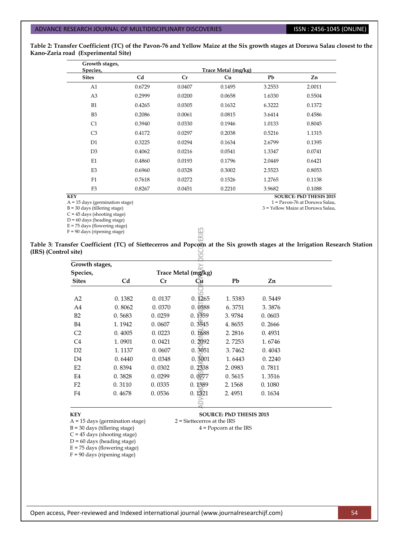1 = Pavon-76 at Doruwa Salau, 3 = Yellow Maize at Doruwa Salau,

**Table 2: Transfer Coefficient (TC) of the Pavon-76 and Yellow Maize at the Six growth stages at Doruwa Salau closest to the Kano-Zaria road (Experimental Site)**

| Growth stages, |        |        |                     |        |                                |
|----------------|--------|--------|---------------------|--------|--------------------------------|
| Species,       |        |        | Trace Metal (mg/kg) |        |                                |
| <b>Sites</b>   | Cd     | Cr     | Cu                  | Pb     | Zn                             |
| A1             | 0.6729 | 0.0407 | 0.1495              | 3.2553 | 2.0011                         |
| A <sub>3</sub> | 0.2999 | 0.0200 | 0.0658              | 1.6330 | 0.5504                         |
| B1             | 0.4265 | 0.0305 | 0.1632              | 6.3222 | 0.1372                         |
| B <sub>3</sub> | 0.2086 | 0.0061 | 0.0815              | 3.6414 | 0.4586                         |
| C1             | 0.3940 | 0.0330 | 0.1946              | 1.0133 | 0.8045                         |
| C <sub>3</sub> | 0.4172 | 0.0297 | 0.2038              | 0.5216 | 1.1315                         |
| D1             | 0.3225 | 0.0294 | 0.1634              | 2.6799 | 0.1395                         |
| D <sub>3</sub> | 0.4062 | 0.0216 | 0.0541              | 1.3347 | 0.0741                         |
| E1             | 0.4860 | 0.0193 | 0.1796              | 2.0449 | 0.6421                         |
| E <sub>3</sub> | 0.6960 | 0.0328 | 0.3002              | 2.5523 | 0.8053                         |
| F1             | 0.7618 | 0.0272 | 0.1526              | 1.2765 | 0.1138                         |
| F <sub>3</sub> | 0.8267 | 0.0451 | 0.2210              | 3.9682 | 0.1088                         |
| <b>KEY</b>     |        |        |                     |        | <b>SOURCE: PhD THESIS 2015</b> |

**KEY** 

A = 15 days (germination stage)

 $B = 30$  days (tillering stage)

 $C = 45$  days (shooting stage)

 $D = 60$  days (heading stage)  $E = 75$  days (flowering stage)

F = 90 days (ripening stage)

**Table 3: Transfer Coefficient (TC) of Siettecerros and Popcorn at the Six growth stages at the Irrigation Research Station (IRS) (Control site)**  $\leq$ 

ERIES

| Growth stages, |        |        |                     |        |        |  |
|----------------|--------|--------|---------------------|--------|--------|--|
| Species,       |        |        | Trace Metal (mg/kg) |        |        |  |
| <b>Sites</b>   | Cd     | Cr     | Œи                  | Pb     | Zn     |  |
|                |        |        |                     |        |        |  |
| A2             | 0.1382 | 0.0137 | 0.1265              | 1.5383 | 0.5449 |  |
| A4             | 0.8062 | 0.0370 | 0.0588              | 6.3751 | 3.3876 |  |
| B2             | 0.5683 | 0.0259 | 0.1359              | 3.9784 | 0.0603 |  |
| <b>B4</b>      | 1.1942 | 0.0607 | 0.3545              | 4.8655 | 0.2666 |  |
| C <sub>2</sub> | 0.4005 | 0.0223 | 0.1688              | 2.2816 | 0.4931 |  |
| C <sub>4</sub> | 1.0901 | 0.0421 | 0.2092              | 2.7253 | 1.6746 |  |
| D <sub>2</sub> | 1.1137 | 0.0607 | 0.3051              | 3.7462 | 0.4043 |  |
| D4             | 0.6440 | 0.0348 | 0.3001              | 1.6443 | 0.2240 |  |
| E2             | 0.8394 | 0.0302 | 0.2338              | 2.0983 | 0.7811 |  |
| E <sub>4</sub> | 0.3828 | 0.0299 | 0.0277              | 0.5615 | 1.3516 |  |
| F <sub>2</sub> | 0.3110 | 0.0335 | 0.1389              | 2.1568 | 0.1080 |  |
| F4             | 0.4678 | 0.0536 | 0.1321              | 2.4951 | 0.1634 |  |
|                |        |        |                     |        |        |  |

 $A = 15$  days (germination stage)

 $B = 30$  days (tillering stage)  $4 = Popcorn$  at the IRS

 $C = 45$  days (shooting stage)

 $D = 60$  days (heading stage)

 $E = 75$  days (flowering stage)

 $F = 90$  days (ripening stage)

**KEY SOURCE: PhD THESIS 2015**<br>A = 15 days (germination stage)  $2 =$  Siettecerros at the IRS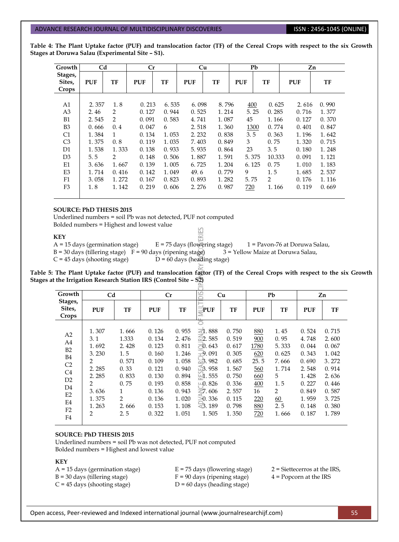**Table 4: The Plant Uptake factor (PUF) and translocation factor (TF) of the Cereal Crops with respect to the six Growth Stages at Doruwa Salau (Experimental Site – S1).**

| Growth                           | C <sub>d</sub> |                |                | Cr<br>Cu       |                |                |            | Pb                      | Zn             |                |  |
|----------------------------------|----------------|----------------|----------------|----------------|----------------|----------------|------------|-------------------------|----------------|----------------|--|
| Stages,<br>Sites,<br>Crops       | <b>PUF</b>     | TF             | <b>PUF</b>     | TF             | <b>PUF</b>     | TF             | <b>PUF</b> | TF                      | <b>PUF</b>     | TF             |  |
| A1<br>A <sub>3</sub>             | 2.357<br>2.46  | 1.8<br>2       | 0.213<br>0.127 | 6.535<br>0.944 | 6.098<br>0.525 | 8.796<br>1.214 | 400        | 0.625<br>5.25<br>0.285  | 2.616<br>0.716 | 0.990<br>1.377 |  |
| B1<br>B <sub>3</sub>             | 2.545<br>0.666 | 2<br>0.4       | 0.091<br>0.047 | 0.583<br>6     | 4.741<br>2.518 | 1.087<br>1.360 | 45         | 1.166<br>0.774<br>1300  | 0.127<br>0.401 | 0.370<br>0.847 |  |
| C1                               | 1.384          | $\mathbf{1}$   | 0.134          | 1.053          | 2.232          | 0.838          | 3.5        | 0.363                   | 1.196          | 1.642          |  |
| C <sub>3</sub><br>D <sub>1</sub> | 1.375<br>1.538 | 0.8<br>1.333   | 0.119<br>0.138 | 1.035<br>0.933 | 7.403<br>5.935 | 0.849<br>0.864 | 3<br>23    | 0.75<br>3.5             | 1.320<br>0.180 | 0.715<br>1.248 |  |
| D <sub>3</sub><br>E1             | 5.5<br>3.636   | 2<br>1.667     | 0.148<br>0.139 | 0.506<br>1.005 | 1.887<br>6.725 | 1.591<br>1.204 | 6.125      | 5.375<br>10.333<br>0.75 | 0.091<br>1.010 | 1.121<br>1.183 |  |
| E <sub>3</sub><br>F <sub>1</sub> | 1.714<br>3.058 | 0.416<br>1.272 | 0.142<br>0.167 | 1.049<br>0.823 | 49.6<br>0.893  | 0.779<br>1.282 | 9<br>5.75  | 1.5<br>$\overline{2}$   | 1.685<br>0.176 | 2.537<br>1.116 |  |
| F3                               | 1.8            | 1.142          | 0.219          | 0.606          | 2.276          | 0.987          | 720        | 1.166                   | 0.119          | 0.669          |  |

### **SOURCE: PhD THESIS 2015**

Underlined numbers = soil Pb was not detected, PUF not computed Bolded numbers = Highest and lowest value 53

### **KEY**

훉

A = 15 days (germination stage)  $E = 75$  days (flowering stage)  $1 = \text{Pavon-76}$  at Doruwa Salau,<br>B = 30 days (tillering stage)  $F = 90$  days (ripening stage)  $3 = \text{Yellow Maize}$  at Doruwa Salau,  $B = 30$  days (tillering stage)  $F = 90$  days (ripening stage)  $C = 45$  days (shooting stage)  $D = 60$  days (heading stage)

**Table 5: The Plant Uptake factor (PUF) and translocation factor (TF) of the Cereal Crops with respect to the six Growth Stages at the Irrigation Research Station IRS (Control Site – S2)** 

| Growth                                                                | Cd                                                         |                                                                  | Cr                                                                   |                                                                      | $\overline{\phantom{a}}$                                                                                                                     | Cu                                                                   |                                                        | Pb                                                           |                                                                      | Zn                                                                   |
|-----------------------------------------------------------------------|------------------------------------------------------------|------------------------------------------------------------------|----------------------------------------------------------------------|----------------------------------------------------------------------|----------------------------------------------------------------------------------------------------------------------------------------------|----------------------------------------------------------------------|--------------------------------------------------------|--------------------------------------------------------------|----------------------------------------------------------------------|----------------------------------------------------------------------|
| Stages,<br>Sites,<br>Crops                                            | <b>PUF</b>                                                 | TF                                                               | <b>PUF</b>                                                           | TF                                                                   | PUF                                                                                                                                          | TF                                                                   | <b>PUF</b>                                             | TF                                                           | <b>PUF</b>                                                           | TF                                                                   |
| A2<br>A4<br>B2<br><b>B4</b><br>C <sub>2</sub><br>C <sub>4</sub><br>D2 | 1.307<br>3.1<br>1.692<br>3.230<br>2<br>2.285<br>2.285<br>2 | 1.666<br>1.333<br>2.428<br>1.5<br>0.571<br>0.33<br>0.833<br>0.75 | 0.126<br>0.134<br>0.123<br>0.160<br>0.109<br>0.121<br>0.130<br>0.193 | 0.955<br>2.476<br>0.811<br>1.246<br>1.058<br>0.940<br>0.894<br>0.858 | $\overline{4}1.888$<br>$\bar{\le}$ 2.585<br>$\overline{5}0.643$<br>$\pm 9.091$<br>$\approx$ 3.982<br>$\mathbb{Z}$ 3.958<br>1.555<br>$-0.826$ | 0.750<br>0.519<br>0.617<br>0.305<br>0.685<br>1.567<br>0.750<br>0.336 | 880<br>900<br>1780<br>620<br>25.5<br>560<br>660<br>400 | 1.45<br>0.95<br>5.333<br>0.625<br>7.666<br>1.714<br>5<br>1.5 | 0.524<br>4.748<br>0.044<br>0.343<br>0.690<br>2.548<br>1.428<br>0.227 | 0.715<br>2.600<br>0.067<br>1.042<br>3.272<br>0.914<br>2.636<br>0.446 |
| D <sub>4</sub><br>E2<br>E4<br>F <sub>2</sub><br>F4                    | 3.636<br>1.375<br>1.263<br>2                               | 1<br>2<br>2.666<br>2.5                                           | 0.136<br>0.136<br>0.153<br>0.322                                     | 0.943<br>1.020<br>1.108<br>1.051                                     | $\leq$ 7.606<br>$\geq$ 0.336<br>$\leq 3.189$<br>1.505                                                                                        | 2.557<br>0.115<br>0.798<br>1.350                                     | 16<br>220<br>880<br>720                                | 2<br>60<br>2.5<br>1.666                                      | 0.849<br>1.959<br>0.148<br>0.187                                     | 0.587<br>3.725<br>0.380<br>1.789                                     |

# **SOURCE: PhD THESIS 2015**

Underlined numbers = soil Pb was not detected, PUF not computed Bolded numbers = Highest and lowest value

### **KEY**

 $A = 15$  days (germination stage)  $E = 75$  days (flowering stage)  $2 =$  Siettecerros at the IRS,  $B = 30$  days (tillering stage)  $F = 90$  days (ripening stage)  $4 =$  Popcorn at the IRS  $C = 45$  days (shooting stage)  $D = 60$  days (heading stage)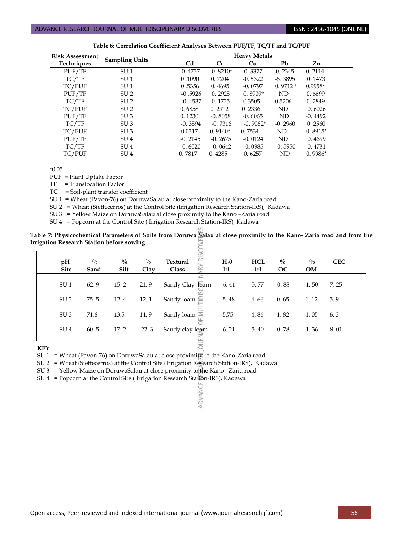| <b>Risk Assessment</b> |                       | <b>Heavy Metals</b> |           |            |           |           |  |  |  |
|------------------------|-----------------------|---------------------|-----------|------------|-----------|-----------|--|--|--|
| <b>Techniques</b>      | <b>Sampling Units</b> | Cd                  | Cr        | Cu         | Pb        | Zn        |  |  |  |
| PUF/TF                 | SU <sub>1</sub>       | 0.4737              | $0.8210*$ | 0.3377     | 0.2345    | 0.2114    |  |  |  |
| TC/TF                  | SU <sub>1</sub>       | 0.1090              | 0.7204    | $-0.5322$  | $-5.3895$ | 0.1473    |  |  |  |
| TC/PUF                 | SU <sub>1</sub>       | 0.5356              | 0.4695    | $-0.0797$  | $0.9712*$ | $0.9958*$ |  |  |  |
| PUF/TF                 | SU <sub>2</sub>       | $-0.5926$           | 0.2925    | $0.8909*$  | ND        | 0.6699    |  |  |  |
| TC/TF                  | SU <sub>2</sub>       | $-0.4537$           | 0.1725    | 0.3505     | 0.5206    | 0.2849    |  |  |  |
| TC/PUF                 | SU <sub>2</sub>       | 0.6858              | 0.2912    | 0.2336     | ND        | 0.6026    |  |  |  |
| PUF/TF                 | SU <sub>3</sub>       | 0.1230              | $-0.8058$ | $-0.6065$  | ND        | $-0.4492$ |  |  |  |
| TC/TF                  | SU <sub>3</sub>       | $-0.3594$           | $-0.7316$ | $-0.9082*$ | $-0.2960$ | 0.2560    |  |  |  |
| TC/PUF                 | SU <sub>3</sub>       | $-0.0317$           | $0.9140*$ | 0.7534     | ND        | $0.8915*$ |  |  |  |
| PUF/TF                 | SU <sub>4</sub>       | $-0.2145$           | $-0.2675$ | $-0.0124$  | ND        | 0.4699    |  |  |  |
| TC/TF                  | SU <sub>4</sub>       | $-0.6020$           | $-0.0642$ | $-0.0985$  | $-0.5950$ | 0.4731    |  |  |  |
| TC/PUF                 | SU <sub>4</sub>       | 0.7817              | 0.4285    | 0.6257     | ND        | $0.9986*$ |  |  |  |

|  |  |  | Table 6: Correlation Coefficient Analyses Between PUF/TF, TC/TF and TC/PUF |
|--|--|--|----------------------------------------------------------------------------|
|  |  |  |                                                                            |

\*0.05

PUF = Plant Uptake Factor

TF = Translocation Factor

TC = Soil-plant transfer coefficient

SU 1 = Wheat (Pavon-76) on DoruwaSalau at close proximity to the Kano-Zaria road

SU 2 = Wheat (Siettecerros) at the Control Site (Irrigation Research Station-IRS), Kadawa

SU 3 = Yellow Maize on DoruwaSalau at close proximity to the Kano –Zaria road

SU 4 = Popcorn at the Control Site ( Irrigation Research Station-IRS), Kadawa

**Table 7: Physicochemical Parameters of Soils from Doruwa Salau at close proximity to the Kano- Zaria road and from the Irrigation Research Station before sowing**  $\gtrsim$ 

| pH<br><b>Site</b> | $\frac{0}{0}$<br>Sand | $\frac{0}{0}$<br>Silt | $\frac{0}{0}$<br>Clay | ē<br><b>Textural</b><br>Class | H <sub>2</sub> 0<br>1:1 | <b>HCL</b><br>1:1 | $^{0}/_{0}$<br><b>OC</b> | $\frac{0}{0}$<br><b>OM</b> | <b>CEC</b> |
|-------------------|-----------------------|-----------------------|-----------------------|-------------------------------|-------------------------|-------------------|--------------------------|----------------------------|------------|
| SU <sub>1</sub>   | 62.9                  | 15.2                  | 21.9                  | <b>loam</b><br>Sandy Clay     | 6.41                    | 5.77              | 0.88                     | 1.50                       | 7.25       |
| SU <sub>2</sub>   | 75.5                  | 12.4                  | 12.1                  | Sandy loam                    | 5.48                    | 4.66              | 0.65                     | 1.12                       | 5.9        |
| SU <sub>3</sub>   | 71.6                  | 13.5                  | 14.9                  | Sandy loam $\overline{\ge}$   | 5.75                    | 4.86              | 1.82                     | 1.05                       | 6.3        |
| SU <sub>4</sub>   | 60.5                  | 17.2                  | 22.3                  | Sandy clay loam               | 6.21                    | 5.40              | 0.78                     | 1.36                       | 8.01       |

 $\vec{o}$ 

ADVANCE

**KEY**

SU 1 = Wheat (Pavon-76) on DoruwaSalau at close proximity to the Kano-Zaria road

SU 2 = Wheat (Siettecerros) at the Control Site (Irrigation Research Station-IRS), Kadawa

SU 3 = Yellow Maize on DoruwaSalau at close proximity to the Kano –Zaria road

SU 4 = Popcorn at the Control Site ( Irrigation Research Station-IRS), Kadawa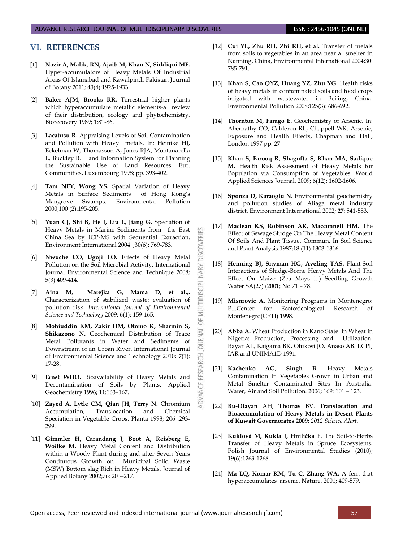# **VI. REFERENCES**

- <span id="page-7-0"></span>**[1] Nazir A, Malik, RN, Ajaib M, Khan N, Siddiqui MF.** Hyper-accumulators of Heavy Metals Of Industrial Areas Of Islamabad and Rawalpindi Pakistan Journal of Botany 2011; 43(4):1925-1933
- <span id="page-7-1"></span>[2] **Baker AJM, Brooks RR.** Terrestrial higher plants which hyperaccumulate metallic elements-a review of their distribution, ecology and phytochemistry. Biorecovery 1989; 1:81-86.
- <span id="page-7-2"></span>[3] **Lacatusu R.** Appraising Levels of Soil Contamination and Pollution with Heavy metals. In: Heinike HJ, Eckelman W, Thomasson A, Jones RJA, Montanarella L, Buckley B. Land Information System for Planning the Sustainable Use of Land Resources. Eur. Communities, Luxembourg 1998; pp. 393-402.
- <span id="page-7-3"></span>[4] **Tam NFY, Wong YS.** Spatial Variation of Heavy Metals in Surface Sediments of Hong Kong's Mangrove Swamps. Environmental Pollution 2000;100 (2):195-205.
- [5] **Yuan CJ, Shi B, He J, Liu L, Jiang G.** Speciation of Heavy Metals in Marine Sediments from the East China Sea by ICP-MS with Sequential Extraction. Environment International 2004 ;30(6): 769-783.

53

MULTIDISCIPLINARY DISCOVERI

5F

**JOURNAL** 

**ADVANCE RESEARCH** 

- [6] **Nwuche CO, Ugoji EO.** Effects of Heavy Metal Pollution on the Soil Microbial Activity. International Journal Environmental Science and Technique 2008; 5(3):409-414.
- [7] **Aina M, Matejka G, Mama D, et al.,.** Characterization of stabilized waste: evaluation of pollution risk. *International Journal of Environmental Science and Technology* 2009; 6(1): 159-165.
- <span id="page-7-4"></span>[8] **Mohiuddin KM, Zakir HM, Otomo K, Sharmin S, Shikazono N.** Geochemical Distribution of Trace Metal Pollutants in Water and Sediments of Downstream of an Urban River. International Journal of Environmental Science and Technology 2010; **7**(1): 17-28.
- <span id="page-7-5"></span>[9] **Ernst WHO.** Bioavailability of Heavy Metals and Decontamination of Soils by Plants. Applied Geochemistry 1996; 11:163–167.
- [10] **Zayed A, Lytle CM, Qian JH, Terry N.** Chromium Accumulation, Translocation and Chemical Speciation in Vegetable Crops. Planta 1998; 206 :293- 299.
- <span id="page-7-6"></span>[11] **Gimmler H, Carandang J, Boot A, Reisberg E, Woitke M.** Heavy Metal Content and Distribution within a Woody Plant during and after Seven Years Continuous Growth on Municipal Solid Waste (MSW) Bottom slag Rich in Heavy Metals. Journal of Applied Botany 2002;76: 203–217.
- <span id="page-7-7"></span>[12] **Cui YL, Zhu RH, Zhi RH, et al.** Transfer of metals from soils to vegetables in an area near a smelter in Nanning, China, Environmental International 2004;30: 785-791.
- <span id="page-7-8"></span>[13] **Khan S, Cao QYZ, Huang YZ, Zhu YG.** Health risks of heavy metals in contaminated soils and food crops irrigated with wastewater in Beijing, China. Environmental Pollution 2008;125(3): 686-692.
- <span id="page-7-9"></span>[14] **Thornton M, Farago E.** Geochemistry of Arsenic. In: Abernathy CO, Calderon RL, Chappell WR. Arsenic, Exposure and Health Effects, Chapman and Hall, London 1997 pp: 27
- <span id="page-7-10"></span>[15] **Khan S, Farooq R, Shagufta S, Khan MA, Sadique M.** Health Risk Assessment of Heavy Metals for Population via Consumption of Vegetables. World Applied Sciences Journal. 2009; 6(12): 1602-1606.
- <span id="page-7-11"></span>[16] **Sponza D, Karaoglu N.** Environmental geochemistry and pollution studies of Aliaga metal industry district. Environment International 2002; **27**: 541-553.
- <span id="page-7-12"></span>[17] **Maclean KS, Robinson AR, Macconnell HM.** The Effect of Sewage Sludge On The Heavy Metal Content Of Soils And Plant Tissue. Commun. In Soil Science and Plant Analysis.1987;18 (11) 1303-1316.
- <span id="page-7-13"></span>[18] **Henning BJ, Snyman HG, Aveling TAS.** Plant-Soil Interactions of Sludge-Borne Heavy Metals And The Effect On Maize (Zea Mays L.) Seedling Growth Water SA(27) (2001; No 71 – 78.
- <span id="page-7-14"></span>[19] **Misurovic A.** Monitoring Programs in Montenegro: P.I.Center for Ecotoxicological Research of Montenegro(CETI) 1998.
- <span id="page-7-15"></span>[20] **Abba A.** Wheat Production in Kano State. In Wheat in Nigeria: Production, Processing and Utilization. Rayar AL, Kaigama BK, Olukosi JO, Anaso AB. LCPI, IAR and UNIMA1D 1991.
- <span id="page-7-16"></span>[21] **Kachenko AG, Singh B.** Heavy Metals Contamination In Vegetables Grown in Urban and Metal Smelter Contaminated Sites In Australia. Water, Air and Soil Pollution. 2006; 169: 101 – 123.
- [22] **[Bu-Olayan](http://ascidatabase.com/author.php?author=Abdul%20H.&last=Bu-Olayan)** AH, **[Thomas](http://ascidatabase.com/author.php?author=Bivin%20V.&last=Thomas)** BV. **Translocation and Bioaccumulation of Heavy Metals in Desert Plants of Kuwait Governorates 2009;** *2012 Science Alert*.
- <span id="page-7-17"></span>[23] **Kuklová M, Kukla J, Hnilička F.** The Soil-to-Herbs Transfer of Heavy Metals in Spruce Ecosystems. Polish Journal of Environmental Studies (2010); 19(6):1263-1268.
- [24] **Ma LQ, Komar KM, Tu C, Zhang WA.** A fern that hyperaccumulates arsenic. Nature. 2001; 409-579.